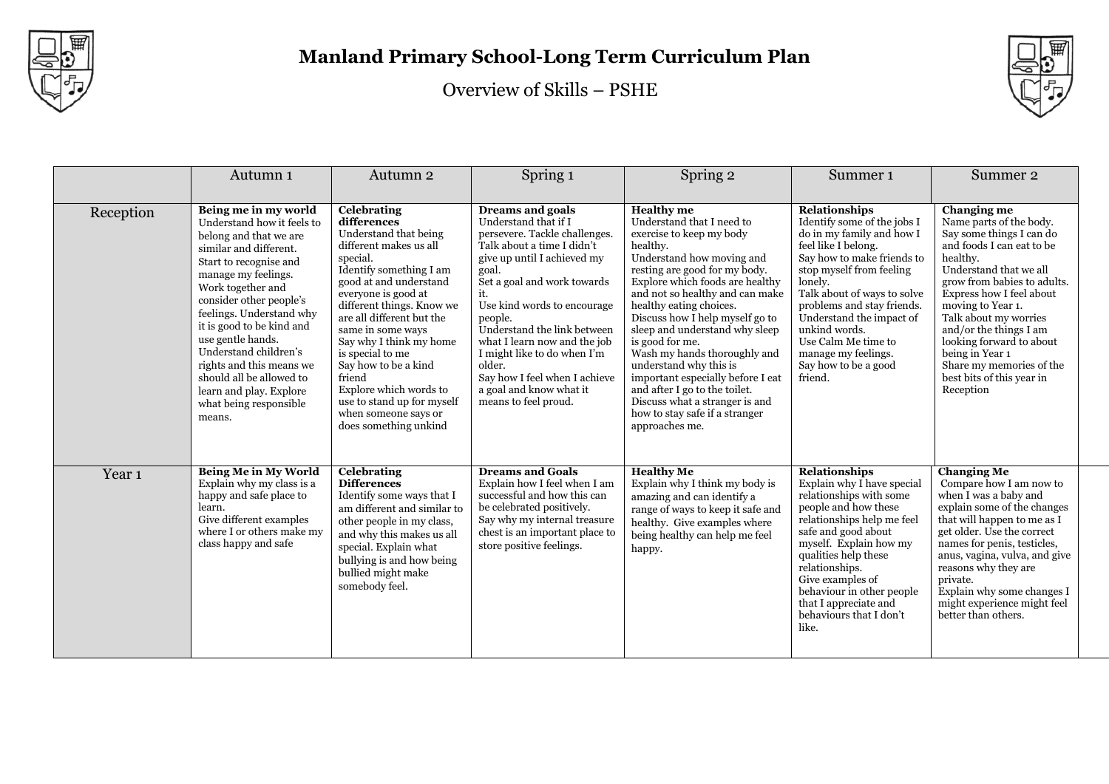

Overview of Skills – PSHE



|                   | Autumn 1                                                                                                                                                                                                                                                                                                                                                                                                                              | Autumn 2                                                                                                                                                                                                                                                                                                                                                                                                                                              | Spring 1                                                                                                                                                                                                                                                                                                                                                                                                                    | Spring 2                                                                                                                                                                                                                                                                                                                                                                                                                                                                                                                                                            | Summer <sub>1</sub>                                                                                                                                                                                                                                                                                                                                                     | Summer 2                                                                                                                                                                                                                                                                                                                                                                                      |
|-------------------|---------------------------------------------------------------------------------------------------------------------------------------------------------------------------------------------------------------------------------------------------------------------------------------------------------------------------------------------------------------------------------------------------------------------------------------|-------------------------------------------------------------------------------------------------------------------------------------------------------------------------------------------------------------------------------------------------------------------------------------------------------------------------------------------------------------------------------------------------------------------------------------------------------|-----------------------------------------------------------------------------------------------------------------------------------------------------------------------------------------------------------------------------------------------------------------------------------------------------------------------------------------------------------------------------------------------------------------------------|---------------------------------------------------------------------------------------------------------------------------------------------------------------------------------------------------------------------------------------------------------------------------------------------------------------------------------------------------------------------------------------------------------------------------------------------------------------------------------------------------------------------------------------------------------------------|-------------------------------------------------------------------------------------------------------------------------------------------------------------------------------------------------------------------------------------------------------------------------------------------------------------------------------------------------------------------------|-----------------------------------------------------------------------------------------------------------------------------------------------------------------------------------------------------------------------------------------------------------------------------------------------------------------------------------------------------------------------------------------------|
| Reception         | Being me in my world<br>Understand how it feels to<br>belong and that we are<br>similar and different.<br>Start to recognise and<br>manage my feelings.<br>Work together and<br>consider other people's<br>feelings. Understand why<br>it is good to be kind and<br>use gentle hands.<br>Understand children's<br>rights and this means we<br>should all be allowed to<br>learn and play. Explore<br>what being responsible<br>means. | <b>Celebrating</b><br>differences<br>Understand that being<br>different makes us all<br>special.<br>Identify something I am<br>good at and understand<br>everyone is good at<br>different things. Know we<br>are all different but the<br>same in some ways<br>Say why I think my home<br>is special to me<br>Say how to be a kind<br>friend<br>Explore which words to<br>use to stand up for myself<br>when someone says or<br>does something unkind | Dreams and goals<br>Understand that if I<br>persevere. Tackle challenges.<br>Talk about a time I didn't<br>give up until I achieved my<br>goal.<br>Set a goal and work towards<br>it.<br>Use kind words to encourage<br>people.<br>Understand the link between<br>what I learn now and the job<br>I might like to do when I'm<br>older.<br>Say how I feel when I achieve<br>a goal and know what it<br>means to feel proud. | <b>Healthy</b> me<br>Understand that I need to<br>exercise to keep my body<br>healthy.<br>Understand how moving and<br>resting are good for my body.<br>Explore which foods are healthy<br>and not so healthy and can make<br>healthy eating choices.<br>Discuss how I help myself go to<br>sleep and understand why sleep<br>is good for me.<br>Wash my hands thoroughly and<br>understand why this is<br>important especially before I eat<br>and after I go to the toilet.<br>Discuss what a stranger is and<br>how to stay safe if a stranger<br>approaches me. | <b>Relationships</b><br>Identify some of the jobs I<br>do in my family and how I<br>feel like I belong.<br>Say how to make friends to<br>stop myself from feeling<br>lonely.<br>Talk about of ways to solve<br>problems and stay friends.<br>Understand the impact of<br>unkind words.<br>Use Calm Me time to<br>manage my feelings.<br>Say how to be a good<br>friend. | Changing me<br>Name parts of the body.<br>Say some things I can do<br>and foods I can eat to be<br>healthy.<br>Understand that we all<br>grow from babies to adults.<br>Express how I feel about<br>moving to Year 1.<br>Talk about my worries<br>and/or the things I am<br>looking forward to about<br>being in Year 1<br>Share my memories of the<br>best bits of this year in<br>Reception |
| Year <sub>1</sub> | <b>Being Me in My World</b><br>Explain why my class is a<br>happy and safe place to<br>learn.<br>Give different examples<br>where I or others make my<br>class happy and safe                                                                                                                                                                                                                                                         | <b>Celebrating</b><br><b>Differences</b><br>Identify some ways that I<br>am different and similar to<br>other people in my class,<br>and why this makes us all<br>special. Explain what<br>bullying is and how being<br>bullied might make<br>somebody feel.                                                                                                                                                                                          | <b>Dreams and Goals</b><br>Explain how I feel when I am<br>successful and how this can<br>be celebrated positively.<br>Say why my internal treasure<br>chest is an important place to<br>store positive feelings.                                                                                                                                                                                                           | <b>Healthy Me</b><br>Explain why I think my body is<br>amazing and can identify a<br>range of ways to keep it safe and<br>healthy. Give examples where<br>being healthy can help me feel<br>happy.                                                                                                                                                                                                                                                                                                                                                                  | <b>Relationships</b><br>Explain why I have special<br>relationships with some<br>people and how these<br>relationships help me feel<br>safe and good about<br>myself. Explain how my<br>qualities help these<br>relationships.<br>Give examples of<br>behaviour in other people<br>that I appreciate and<br>behaviours that I don't<br>like.                            | <b>Changing Me</b><br>Compare how I am now to<br>when I was a baby and<br>explain some of the changes<br>that will happen to me as I<br>get older. Use the correct<br>names for penis, testicles,<br>anus, vagina, vulva, and give<br>reasons why they are<br>private.<br>Explain why some changes I<br>might experience might feel<br>better than others.                                    |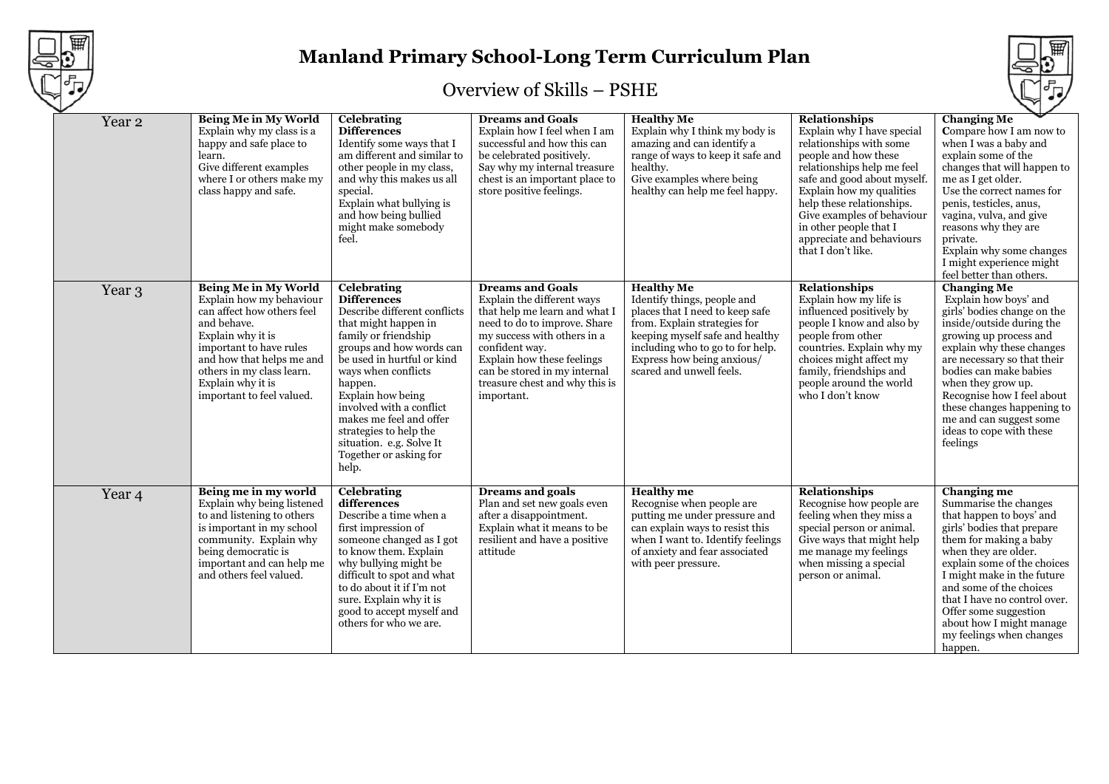

# **Manland Primary School-Long Term Curriculum Plan**

## Overview of Skills – PSHE

| Year <sub>2</sub> | <b>Being Me in My World</b><br>Explain why my class is a<br>happy and safe place to<br>learn.<br>Give different examples<br>where I or others make my<br>class happy and safe.                                                                            | Celebrating<br><b>Differences</b><br>Identify some ways that I<br>am different and similar to<br>other people in my class,<br>and why this makes us all<br>special.<br>Explain what bullying is<br>and how being bullied<br>might make somebody<br>feel.                                                                                                                           | <b>Dreams and Goals</b><br>Explain how I feel when I am<br>successful and how this can<br>be celebrated positively.<br>Say why my internal treasure<br>chest is an important place to<br>store positive feelings.                                                                     | <b>Healthy Me</b><br>Explain why I think my body is<br>amazing and can identify a<br>range of ways to keep it safe and<br>healthy.<br>Give examples where being<br>healthy can help me feel happy.                                                   | <b>Relationships</b><br>Explain why I have special<br>relationships with some<br>people and how these<br>relationships help me feel<br>safe and good about myself.<br>Explain how my qualities<br>help these relationships.<br>Give examples of behaviour<br>in other people that I<br>appreciate and behaviours<br>that I don't like. | <b>Changing Me</b><br>Compare how I am now to<br>when I was a baby and<br>explain some of the<br>changes that will happen to<br>me as I get older.<br>Use the correct names for<br>penis, testicles, anus,<br>vagina, vulva, and give<br>reasons why they are<br>private.<br>Explain why some changes<br>I might experience might<br>feel better than others.                |
|-------------------|-----------------------------------------------------------------------------------------------------------------------------------------------------------------------------------------------------------------------------------------------------------|------------------------------------------------------------------------------------------------------------------------------------------------------------------------------------------------------------------------------------------------------------------------------------------------------------------------------------------------------------------------------------|---------------------------------------------------------------------------------------------------------------------------------------------------------------------------------------------------------------------------------------------------------------------------------------|------------------------------------------------------------------------------------------------------------------------------------------------------------------------------------------------------------------------------------------------------|----------------------------------------------------------------------------------------------------------------------------------------------------------------------------------------------------------------------------------------------------------------------------------------------------------------------------------------|------------------------------------------------------------------------------------------------------------------------------------------------------------------------------------------------------------------------------------------------------------------------------------------------------------------------------------------------------------------------------|
| Year 3            | Being Me in My World<br>Explain how my behaviour<br>can affect how others feel<br>and behave.<br>Explain why it is<br>important to have rules<br>and how that helps me and<br>others in my class learn.<br>Explain why it is<br>important to feel valued. | Celebrating<br><b>Differences</b><br>Describe different conflicts<br>that might happen in<br>family or friendship<br>groups and how words can<br>be used in hurtful or kind<br>ways when conflicts<br>happen.<br>Explain how being<br>involved with a conflict<br>makes me feel and offer<br>strategies to help the<br>situation. e.g. Solve It<br>Together or asking for<br>help. | <b>Dreams and Goals</b><br>Explain the different ways<br>that help me learn and what I<br>need to do to improve. Share<br>my success with others in a<br>confident way.<br>Explain how these feelings<br>can be stored in my internal<br>treasure chest and why this is<br>important. | <b>Healthy Me</b><br>Identify things, people and<br>places that I need to keep safe<br>from. Explain strategies for<br>keeping myself safe and healthy<br>including who to go to for help.<br>Express how being anxious/<br>scared and unwell feels. | <b>Relationships</b><br>Explain how my life is<br>influenced positively by<br>people I know and also by<br>people from other<br>countries. Explain why my<br>choices might affect my<br>family, friendships and<br>people around the world<br>who I don't know                                                                         | <b>Changing Me</b><br>Explain how boys' and<br>girls' bodies change on the<br>inside/outside during the<br>growing up process and<br>explain why these changes<br>are necessary so that their<br>bodies can make babies<br>when they grow up.<br>Recognise how I feel about<br>these changes happening to<br>me and can suggest some<br>ideas to cope with these<br>feelings |
| Year <sub>4</sub> | Being me in my world<br>Explain why being listened<br>to and listening to others<br>is important in my school<br>community. Explain why<br>being democratic is<br>important and can help me<br>and others feel valued.                                    | <b>Celebrating</b><br>differences<br>Describe a time when a<br>first impression of<br>someone changed as I got<br>to know them. Explain<br>why bullying might be<br>difficult to spot and what<br>to do about it if I'm not<br>sure. Explain why it is<br>good to accept myself and<br>others for who we are.                                                                      | <b>Dreams and goals</b><br>Plan and set new goals even<br>after a disappointment.<br>Explain what it means to be<br>resilient and have a positive<br>attitude                                                                                                                         | <b>Healthy</b> me<br>Recognise when people are<br>putting me under pressure and<br>can explain ways to resist this<br>when I want to. Identify feelings<br>of anxiety and fear associated<br>with peer pressure.                                     | <b>Relationships</b><br>Recognise how people are<br>feeling when they miss a<br>special person or animal.<br>Give ways that might help<br>me manage my feelings<br>when missing a special<br>person or animal.                                                                                                                         | Changing me<br>Summarise the changes<br>that happen to boys' and<br>girls' bodies that prepare<br>them for making a baby<br>when they are older.<br>explain some of the choices<br>I might make in the future<br>and some of the choices<br>that I have no control over.<br>Offer some suggestion<br>about how I might manage<br>my feelings when changes<br>happen.         |